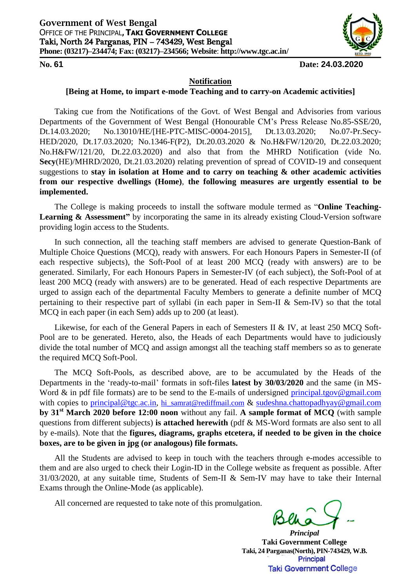

## **No. 61 Date: 24.03.2020**

## **Notification**

## **[Being at Home, to impart e-mode Teaching and to carry-on Academic activities]**

Taking cue from the Notifications of the Govt. of West Bengal and Advisories from various Departments of the Government of West Bengal (Honourable CM's Press Release No.85-SSE/20, Dt.14.03.2020; No.13010/HE/[HE-PTC-MISC-0004-2015], Dt.13.03.2020; No.07-Pr.Secy-HED/2020, Dt.17.03.2020; No.1346-F(P2), Dt.20.03.2020 & No.H&FW/120/20, Dt.22.03.2020; No.H&FW/121/20, Dt.22.03.2020) and also that from the MHRD Notification (vide No. **Secy**(HE)/MHRD/2020, Dt.21.03.2020) relating prevention of spread of COVID-19 and consequent suggestions to **stay in isolation at Home and to carry on teaching & other academic activities from our respective dwellings (Home)**, **the following measures are urgently essential to be implemented.** 

The College is making proceeds to install the software module termed as "**Online Teaching-**Learning & Assessment" by incorporating the same in its already existing Cloud-Version software providing login access to the Students.

In such connection, all the teaching staff members are advised to generate Question-Bank of Multiple Choice Questions (MCQ), ready with answers. For each Honours Papers in Semester-II (of each respective subjects), the Soft-Pool of at least 200 MCQ (ready with answers) are to be generated. Similarly, For each Honours Papers in Semester-IV (of each subject), the Soft-Pool of at least 200 MCQ (ready with answers) are to be generated. Head of each respective Departments are urged to assign each of the departmental Faculty Members to generate a definite number of MCQ pertaining to their respective part of syllabi (in each paper in Sem-II & Sem-IV) so that the total MCQ in each paper (in each Sem) adds up to 200 (at least).

Likewise, for each of the General Papers in each of Semesters II & IV, at least 250 MCQ Soft-Pool are to be generated. Hereto, also, the Heads of each Departments would have to judiciously divide the total number of MCQ and assign amongst all the teaching staff members so as to generate the required MCQ Soft-Pool.

The MCQ Soft-Pools, as described above, are to be accumulated by the Heads of the Departments in the 'ready-to-mail' formats in soft-files **latest by 30/03/2020** and the same (in MS-Word  $\&$  in pdf file formats) are to be send to the E-mails of undersigned [principal.tgov@gmail.com](mailto:principal.tgov@gmail.com) with copies to [principal@tgc.ac.in,](mailto:principal@tgc.ac.in) [hi\\_samrat@rediffmail.com](mailto:hi_samrat@rediffmail.com) & [sudeshna.chattopadhyay@gmail.com](mailto:sudeshna.chattopadhyay@gmail.com) **by 31st March 2020 before 12:00 noon** without any fail. **A sample format of MCQ** (with sample questions from different subjects) **is attached herewith** (pdf & MS-Word formats are also sent to all by e-mails). Note that the **figures, diagrams, graphs etcetera, if needed to be given in the choice boxes, are to be given in jpg (or analogous) file formats.** 

All the Students are advised to keep in touch with the teachers through e-modes accessible to them and are also urged to check their Login-ID in the College website as frequent as possible. After 31/03/2020, at any suitable time, Students of Sem-II & Sem-IV may have to take their Internal Exams through the Online-Mode (as applicable).

All concerned are requested to take note of this promulgation.

*Principal* **Taki Government College Taki, 24 Parganas(North), PIN-743429, W.B.**Principal **Taki Government College**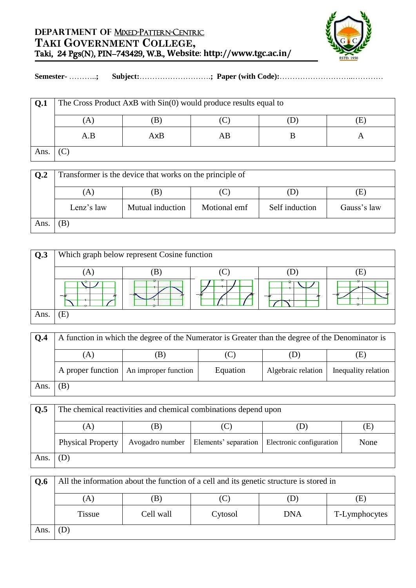

## **Semester-** ………..**; Subject:**……………………….**; Paper (with Code):**………………………..…………

| Q.1 | The Cross Product AxB with Sin(0) would produce results equal to |     |    |  |  |  |  |
|-----|------------------------------------------------------------------|-----|----|--|--|--|--|
|     |                                                                  |     |    |  |  |  |  |
|     | A.B                                                              | AxB | AB |  |  |  |  |
| Ans |                                                                  |     |    |  |  |  |  |

| Q <sub>2</sub> | Transformer is the device that works on the principle of |                  |              |                |             |  |  |  |
|----------------|----------------------------------------------------------|------------------|--------------|----------------|-------------|--|--|--|
|                | (A)                                                      | $\mathbf{B}$     |              |                | E)          |  |  |  |
|                | Lenz's law                                               | Mutual induction | Motional emf | Self induction | Gauss's law |  |  |  |
| Ans.           | ΈB                                                       |                  |              |                |             |  |  |  |

| Q.3  | Which graph below represent Cosine function |             |  |        |   |  |  |
|------|---------------------------------------------|-------------|--|--------|---|--|--|
|      |                                             |             |  |        | н |  |  |
|      |                                             | $\sim$<br>÷ |  | $-\pi$ | z |  |  |
| Ans. | Έ                                           |             |  |        |   |  |  |

| 0.4  | A function in which the degree of the Numerator is Greater than the degree of the Denominator is |                                          |          |                    |                     |  |
|------|--------------------------------------------------------------------------------------------------|------------------------------------------|----------|--------------------|---------------------|--|
|      |                                                                                                  | в                                        |          | (D)                | (E)                 |  |
|      |                                                                                                  | A proper function   An improper function | Equation | Algebraic relation | Inequality relation |  |
| Ans. | ΈB                                                                                               |                                          |          |                    |                     |  |

| Q.5  | The chemical reactivities and chemical combinations depend upon |                 |                      |                          |      |  |  |
|------|-----------------------------------------------------------------|-----------------|----------------------|--------------------------|------|--|--|
|      | A)                                                              | ы               |                      |                          | LE)  |  |  |
|      | <b>Physical Property</b>                                        | Avogadro number | Elements' separation | Electronic configuration | None |  |  |
| Ans. |                                                                 |                 |                      |                          |      |  |  |

| Q.6  | All the information about the function of a cell and its genetic structure is stored in |           |         |            |               |  |  |
|------|-----------------------------------------------------------------------------------------|-----------|---------|------------|---------------|--|--|
|      | A)                                                                                      | ΈB)       |         |            | E.            |  |  |
|      | Tissue                                                                                  | Cell wall | Cytosol | <b>DNA</b> | T-Lymphocytes |  |  |
| Ans. |                                                                                         |           |         |            |               |  |  |